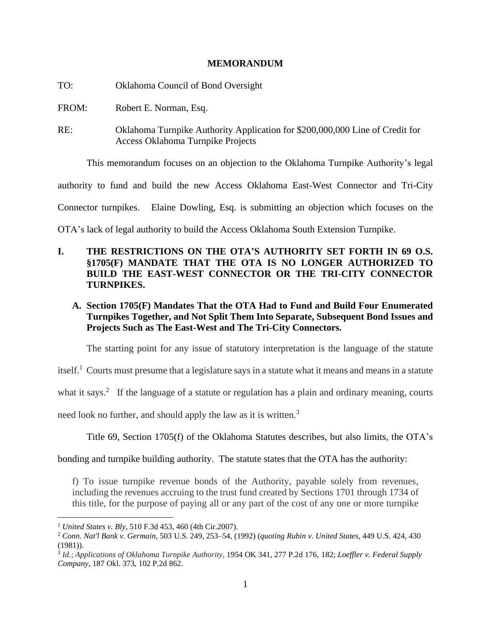### **MEMORANDUM**

| TO:   | Oklahoma Council of Bond Oversight                                                                                |
|-------|-------------------------------------------------------------------------------------------------------------------|
| FROM: | Robert E. Norman, Esq.                                                                                            |
| RE:   | Oklahoma Turnpike Authority Application for \$200,000,000 Line of Credit for<br>Access Oklahoma Turnpike Projects |
|       | This memorandum focuses on an objection to the Oklahoma Turnpike Authority's legal                                |

authority to fund and build the new Access Oklahoma East-West Connector and Tri-City

Connector turnpikes. Elaine Dowling, Esq. is submitting an objection which focuses on the

OTA's lack of legal authority to build the Access Oklahoma South Extension Turnpike.

# **I. THE RESTRICTIONS ON THE OTA'S AUTHORITY SET FORTH IN 69 O.S. §1705(F) MANDATE THAT THE OTA IS NO LONGER AUTHORIZED TO BUILD THE EAST-WEST CONNECTOR OR THE TRI-CITY CONNECTOR TURNPIKES.**

**A. Section 1705(F) Mandates That the OTA Had to Fund and Build Four Enumerated Turnpikes Together, and Not Split Them Into Separate, Subsequent Bond Issues and Projects Such as The East-West and The Tri-City Connectors.**

The starting point for any issue of statutory interpretation is the language of the statute

itself.<sup>1</sup> Courts must presume that a legislature says in a statute what it means and means in a statute

what it says.<sup>2</sup> If the language of a statute or regulation has a plain and ordinary meaning, courts

need look no further, and should apply the law as it is written.<sup>3</sup>

Title 69, Section 1705(f) of the Oklahoma Statutes describes, but also limits, the OTA's

bonding and turnpike building authority. The statute states that the OTA has the authority:

f) To issue turnpike revenue bonds of the Authority, payable solely from revenues, including the revenues accruing to the trust fund created by Sections 1701 through 1734 of this title, for the purpose of paying all or any part of the cost of any one or more turnpike

<sup>1</sup> *United States v. Bly*, 510 F.3d 453, 460 (4th [Cir.2007\).](https://1.next.westlaw.com/Link/Document/FullText?findType=Y&serNum=2014367771&pubNum=0000506&originatingDoc=Ib89631c4956211e1804793ce9768950b&refType=RP&fi=co_pp_sp_506_460&originationContext=document&transitionType=DocumentItem&ppcid=c82e288a8daa4a819c97759748f57f18&contextData=(sc.CustomDigest)#co_pp_sp_506_460)

<sup>2</sup> *Conn. Nat'l Bank v. [Germain](https://1.next.westlaw.com/Link/Document/FullText?findType=Y&serNum=1992051933&pubNum=0000708&originatingDoc=Ib89631c4956211e1804793ce9768950b&refType=RP&originationContext=document&transitionType=DocumentItem&ppcid=c82e288a8daa4a819c97759748f57f18&contextData=(sc.CustomDigest))*, 503 U.S. 249, 253–54, (1992) (*quoting Rubin v. [United](https://1.next.westlaw.com/Link/Document/FullText?findType=Y&serNum=1981103159&pubNum=0000708&originatingDoc=Ib89631c4956211e1804793ce9768950b&refType=RP&originationContext=document&transitionType=DocumentItem&ppcid=c82e288a8daa4a819c97759748f57f18&contextData=(sc.CustomDigest)) States*, 449 U.S. 424, 430 [\(1981\)\)](https://1.next.westlaw.com/Link/Document/FullText?findType=Y&serNum=1981103159&pubNum=0000708&originatingDoc=Ib89631c4956211e1804793ce9768950b&refType=RP&originationContext=document&transitionType=DocumentItem&ppcid=c82e288a8daa4a819c97759748f57f18&contextData=(sc.CustomDigest)).

<sup>3</sup> *Id.*; *Applications of Oklahoma Turnpike Authority*, 1954 OK 341, 277 P.2d 176, 182; *Loeffler v. Federal Supply Company*, 187 Okl. 373, 102 [P.2d](https://law.justia.com/cases/oklahoma/supreme-court/1940/12563.html) 862.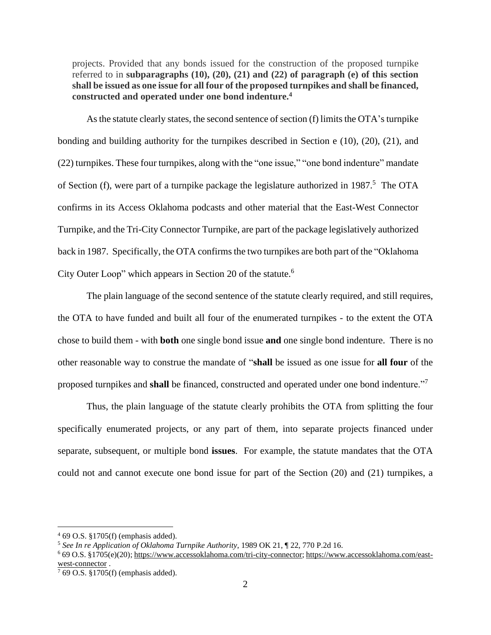projects. Provided that any bonds issued for the construction of the proposed turnpike referred to in **subparagraphs (10), (20), (21) and (22) of paragraph (e) of this section shall be issued as one issue for all four of the proposed turnpikes and shall be financed, constructed and operated under one bond indenture.<sup>4</sup>**

As the statute clearly states, the second sentence of section  $(f)$  limits the OTA's turnpike bonding and building authority for the turnpikes described in Section e (10), (20), (21), and (22) turnpikes. These four turnpikes, along with the "one issue," "one bond indenture" mandate of Section (f), were part of a turnpike package the legislature authorized in 1987.<sup>5</sup> The OTA confirms in its Access Oklahoma podcasts and other material that the East-West Connector Turnpike, and the Tri-City Connector Turnpike, are part of the package legislatively authorized back in 1987. Specifically, the OTA confirms the two turnpikes are both part of the "Oklahoma City Outer Loop" which appears in Section 20 of the statute.<sup>6</sup>

The plain language of the second sentence of the statute clearly required, and still requires, the OTA to have funded and built all four of the enumerated turnpikes - to the extent the OTA chose to build them - with **both** one single bond issue **and** one single bond indenture. There is no other reasonable way to construe the mandate of "**shall** be issued as one issue for **all four** of the proposed turnpikes and **shall** be financed, constructed and operated under one bond indenture."<sup>7</sup>

Thus, the plain language of the statute clearly prohibits the OTA from splitting the four specifically enumerated projects, or any part of them, into separate projects financed under separate, subsequent, or multiple bond **issues**. For example, the statute mandates that the OTA could not and cannot execute one bond issue for part of the Section (20) and (21) turnpikes, a

<sup>4</sup> 69 O.S. §1705(f) (emphasis added).

<sup>5</sup> *See In re Application of Oklahoma Turnpike Authority*, [1989](https://www.oscn.net/applications/oscn/deliverdocument.asp?citeid=10507) OK 21, ¶ 22, 770 [P.2d](https://www.oscn.net/applications/oscn/deliverdocument.asp?citeid=10507) 16.

<sup>6</sup> 69 O.S. §1705(e)(20); [https://www.accessoklahoma.com/tri-city-connector;](https://www.accessoklahoma.com/tri-city-connector) [https://www.accessoklahoma.com/east](https://www.accessoklahoma.com/east-west-connector)[west-connector](https://www.accessoklahoma.com/east-west-connector).

 $7$  69 O.S. §1705(f) (emphasis added).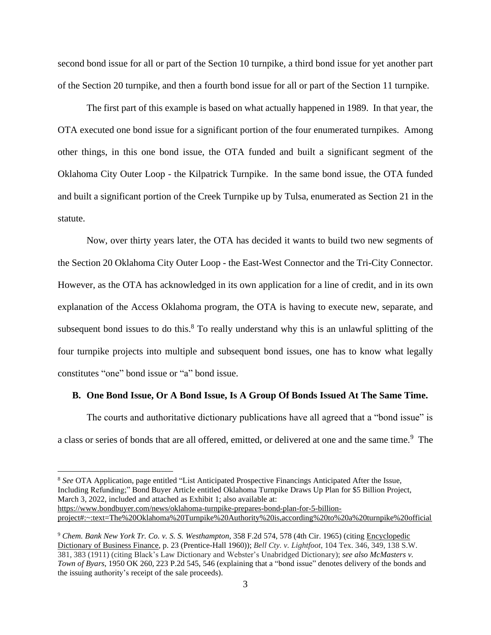second bond issue for all or part of the Section 10 turnpike, a third bond issue for yet another part of the Section 20 turnpike, and then a fourth bond issue for all or part of the Section 11 turnpike.

The first part of this example is based on what actually happened in 1989. In that year, the OTA executed one bond issue for a significant portion of the four enumerated turnpikes. Among other things, in this one bond issue, the OTA funded and built a significant segment of the Oklahoma City Outer Loop - the Kilpatrick Turnpike. In the same bond issue, the OTA funded and built a significant portion of the Creek Turnpike up by Tulsa, enumerated as Section 21 in the statute.

Now, over thirty years later, the OTA has decided it wants to build two new segments of the Section 20 Oklahoma City Outer Loop - the East-West Connector and the Tri-City Connector. However, as the OTA has acknowledged in its own application for a line of credit, and in its own explanation of the Access Oklahoma program, the OTA is having to execute new, separate, and subsequent bond issues to do this.<sup>8</sup> To really understand why this is an unlawful splitting of the four turnpike projects into multiple and subsequent bond issues, one has to know what legally constitutes "one" bond issue or "a" bond issue.

#### **B. One Bond Issue, Or A Bond Issue, Is A Group Of Bonds Issued At The Same Time.**

The courts and authoritative dictionary publications have all agreed that a "bond issue" is a class or series of bonds that are all offered, emitted, or delivered at one and the same time.<sup>9</sup> The

<sup>8</sup> *See* OTA Application, page entitled "List Anticipated Prospective Financings Anticipated After the Issue, Including Refunding;" Bond Buyer Article entitled Oklahoma Turnpike Draws Up Plan for \$5 Billion Project, March 3, 2022, included and attached as Exhibit 1; also available at: [https://www.bondbuyer.com/news/oklahoma-turnpike-prepares-bond-plan-for-5-billion](https://www.bondbuyer.com/news/oklahoma-turnpike-prepares-bond-plan-for-5-billion-project#:~:text=The%20Oklahoma%20Turnpike%20Authority%20is,according%20to%20a%20turnpike%20official)[project#:~:text=The%20Oklahoma%20Turnpike%20Authority%20is,according%20to%20a%20turnpike%20official](https://www.bondbuyer.com/news/oklahoma-turnpike-prepares-bond-plan-for-5-billion-project#:~:text=The%20Oklahoma%20Turnpike%20Authority%20is,according%20to%20a%20turnpike%20official)

<sup>9</sup> *Chem. Bank New York Tr. Co. v. S. S. Westhampton*, 358 F.2d 574, 578 (4th Cir. 1965) (citing Encyclopedic Dictionary of Business Finance, p. 23 (Prentice-Hall 1960)); *Bell Cty. v. Lightfoot*, 104 Tex. 346, 349, 138 S.W. 381, 383 (1911) (citing Black's Law Dictionary and Webster's Unabridged Dictionary); *see also [McMasters](https://1.next.westlaw.com/Link/Document/FullText?findType=Y&serNum=1950114782&pubNum=0000661&originatingDoc=N79071840C81811DB8F04FB3E68C8F4C5&refType=RP&originationContext=notesOfDecisions&contextData=%28sc.DocLink%29&transitionType=NotesOfDecisionItem&ppcid=b8c81395a1d14ec1ad7b6db932e8b9a4) v. Town of [Byars](https://1.next.westlaw.com/Link/Document/FullText?findType=Y&serNum=1950114782&pubNum=0000661&originatingDoc=N79071840C81811DB8F04FB3E68C8F4C5&refType=RP&originationContext=notesOfDecisions&contextData=%28sc.DocLink%29&transitionType=NotesOfDecisionItem&ppcid=b8c81395a1d14ec1ad7b6db932e8b9a4)*, 1950 OK 260, 223 P.2d 545, 546 (explaining that a "bond issue" denotes delivery of the bonds and the issuing authority's receipt of the sale proceeds).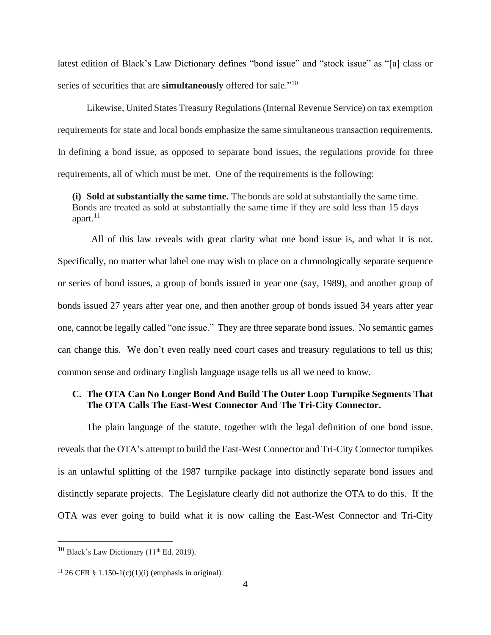latest edition of Black's Law Dictionary defines "bond issue" and "stock issue" as "[a] class or series of securities that are **simultaneously** offered for sale."<sup>10</sup>

Likewise, United States Treasury Regulations(Internal Revenue Service) on tax exemption requirements for state and local bonds emphasize the same simultaneous transaction requirements. In defining a bond issue, as opposed to separate bond issues, the regulations provide for three requirements, all of which must be met. One of the requirements is the following:

**(i) Sold at substantially the same time.** The bonds are sold at substantially the same time. Bonds are treated as sold at substantially the same time if they are sold less than 15 days apart.<sup>11</sup>

 All of this law reveals with great clarity what one bond issue is, and what it is not. Specifically, no matter what label one may wish to place on a chronologically separate sequence or series of bond issues, a group of bonds issued in year one (say, 1989), and another group of bonds issued 27 years after year one, and then another group of bonds issued 34 years after year one, cannot be legally called "one issue." They are three separate bond issues. No semantic games can change this. We don't even really need court cases and treasury regulations to tell us this; common sense and ordinary English language usage tells us all we need to know.

## **C. The OTA Can No Longer Bond And Build The Outer Loop Turnpike Segments That The OTA Calls The East-West Connector And The Tri-City Connector.**

The plain language of the statute, together with the legal definition of one bond issue, reveals that the OTA's attempt to build the East-West Connector and Tri-City Connector turnpikes is an unlawful splitting of the 1987 turnpike package into distinctly separate bond issues and distinctly separate projects. The Legislature clearly did not authorize the OTA to do this. If the OTA was ever going to build what it is now calling the East-West Connector and Tri-City

 $10$  Black's Law Dictionary ( $11<sup>th</sup>$  Ed. 2019).

<sup>&</sup>lt;sup>11</sup> 26 CFR § 1.150-1(c)(1)(i) (emphasis in original).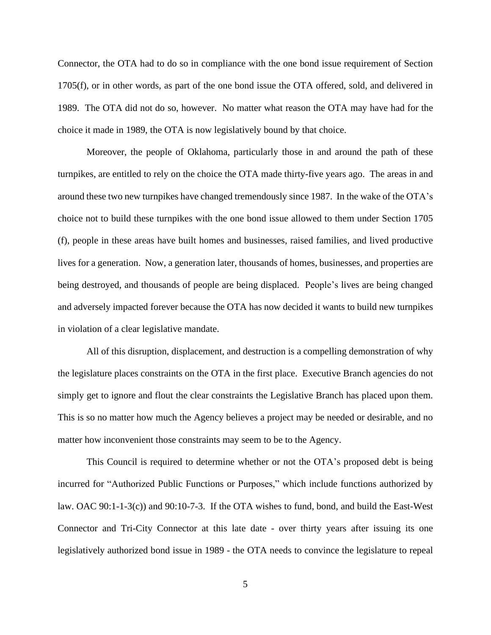Connector, the OTA had to do so in compliance with the one bond issue requirement of Section 1705(f), or in other words, as part of the one bond issue the OTA offered, sold, and delivered in 1989. The OTA did not do so, however. No matter what reason the OTA may have had for the choice it made in 1989, the OTA is now legislatively bound by that choice.

Moreover, the people of Oklahoma, particularly those in and around the path of these turnpikes, are entitled to rely on the choice the OTA made thirty-five years ago. The areas in and around these two new turnpikes have changed tremendously since 1987. In the wake of the OTA's choice not to build these turnpikes with the one bond issue allowed to them under Section 1705 (f), people in these areas have built homes and businesses, raised families, and lived productive lives for a generation. Now, a generation later, thousands of homes, businesses, and properties are being destroyed, and thousands of people are being displaced. People's lives are being changed and adversely impacted forever because the OTA has now decided it wants to build new turnpikes in violation of a clear legislative mandate.

All of this disruption, displacement, and destruction is a compelling demonstration of why the legislature places constraints on the OTA in the first place. Executive Branch agencies do not simply get to ignore and flout the clear constraints the Legislative Branch has placed upon them. This is so no matter how much the Agency believes a project may be needed or desirable, and no matter how inconvenient those constraints may seem to be to the Agency.

This Council is required to determine whether or not the OTA's proposed debt is being incurred for "Authorized Public Functions or Purposes," which include functions authorized by law. OAC 90:1-1-3(c)) and 90:10-7-3. If the OTA wishes to fund, bond, and build the East-West Connector and Tri-City Connector at this late date - over thirty years after issuing its one legislatively authorized bond issue in 1989 - the OTA needs to convince the legislature to repeal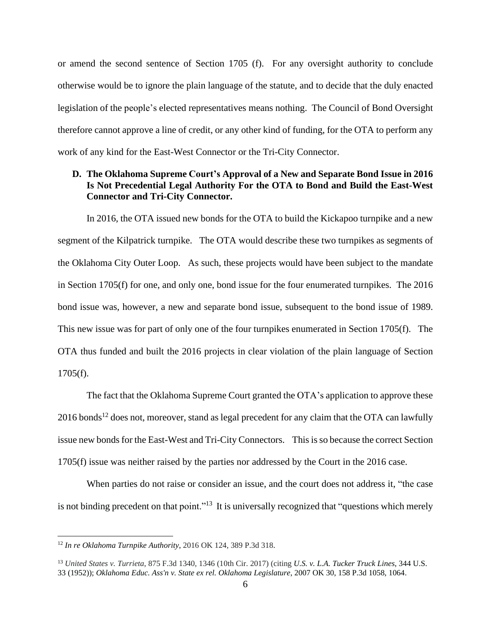or amend the second sentence of Section 1705 (f). For any oversight authority to conclude otherwise would be to ignore the plain language of the statute, and to decide that the duly enacted legislation of the people's elected representatives means nothing. The Council of Bond Oversight therefore cannot approve a line of credit, or any other kind of funding, for the OTA to perform any work of any kind for the East-West Connector or the Tri-City Connector.

# **D. The Oklahoma Supreme Court's Approval of a New and Separate Bond Issue in 2016 Is Not Precedential Legal Authority For the OTA to Bond and Build the East-West Connector and Tri-City Connector.**

In 2016, the OTA issued new bonds for the OTA to build the Kickapoo turnpike and a new segment of the Kilpatrick turnpike. The OTA would describe these two turnpikes as segments of the Oklahoma City Outer Loop. As such, these projects would have been subject to the mandate in Section 1705(f) for one, and only one, bond issue for the four enumerated turnpikes. The 2016 bond issue was, however, a new and separate bond issue, subsequent to the bond issue of 1989. This new issue was for part of only one of the four turnpikes enumerated in Section 1705(f). The OTA thus funded and built the 2016 projects in clear violation of the plain language of Section 1705(f).

The fact that the Oklahoma Supreme Court granted the OTA's application to approve these 2016 bonds<sup>12</sup> does not, moreover, stand as legal precedent for any claim that the OTA can lawfully issue new bonds for the East-West and Tri-City Connectors. This is so because the correct Section 1705(f) issue was neither raised by the parties nor addressed by the Court in the 2016 case.

When parties do not raise or consider an issue, and the court does not address it, "the case is not binding precedent on that point."<sup>13</sup> It is universally recognized that "questions which merely

<sup>12</sup> *In re Oklahoma Turnpike Authority*, 2016 OK 124, 389 P.3d 318.

<sup>13</sup> *United States v. Turrieta*, 875 F.3d 1340, 1346 (10th Cir. 2017) (citing *U.S. v. L.A. Tucker Truck Lines*, 344 U.S. 33 (1952)); *Oklahoma Educ. Ass'n v. State ex rel. Oklahoma Legislature*, 2007 OK 30, 158 P.3d 1058, 1064.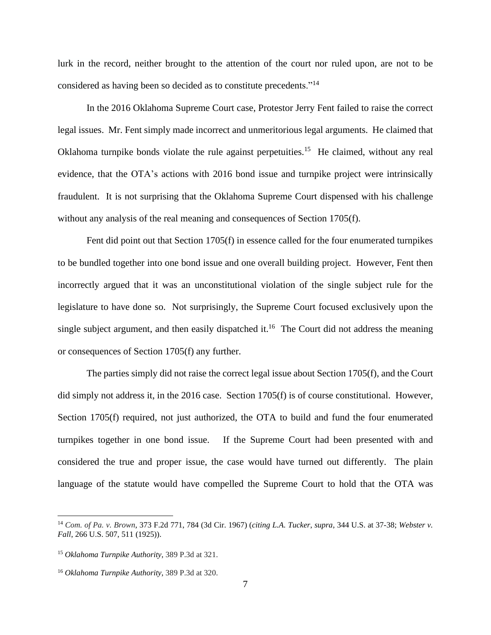lurk in the record, neither brought to the attention of the court nor ruled upon, are not to be considered as having been so decided as to constitute precedents."<sup>14</sup>

In the 2016 Oklahoma Supreme Court case, Protestor Jerry Fent failed to raise the correct legal issues. Mr. Fent simply made incorrect and unmeritorious legal arguments. He claimed that Oklahoma turnpike bonds violate the rule against perpetuities.<sup>15</sup> He claimed, without any real evidence, that the OTA's actions with 2016 bond issue and turnpike project were intrinsically fraudulent. It is not surprising that the Oklahoma Supreme Court dispensed with his challenge without any analysis of the real meaning and consequences of Section 1705(f).

Fent did point out that Section 1705(f) in essence called for the four enumerated turnpikes to be bundled together into one bond issue and one overall building project. However, Fent then incorrectly argued that it was an unconstitutional violation of the single subject rule for the legislature to have done so. Not surprisingly, the Supreme Court focused exclusively upon the single subject argument, and then easily dispatched it.<sup>16</sup> The Court did not address the meaning or consequences of Section 1705(f) any further.

The parties simply did not raise the correct legal issue about Section 1705(f), and the Court did simply not address it, in the 2016 case. Section 1705(f) is of course constitutional. However, Section 1705(f) required, not just authorized, the OTA to build and fund the four enumerated turnpikes together in one bond issue. If the Supreme Court had been presented with and considered the true and proper issue, the case would have turned out differently. The plain language of the statute would have compelled the Supreme Court to hold that the OTA was

<sup>14</sup> *Com. of Pa. v. Brown*, 373 F.2d 771, 784 (3d Cir. 1967) (*citing L.A. Tucker*, *supra*, 344 U.S. at 37-38; *Webster v. Fall*, 266 U.S. 507, 511 (1925)).

<sup>15</sup> *Oklahoma Turnpike Authority*, 389 P.3d at 321.

<sup>16</sup> *Oklahoma Turnpike Authority*, 389 P.3d at 320.